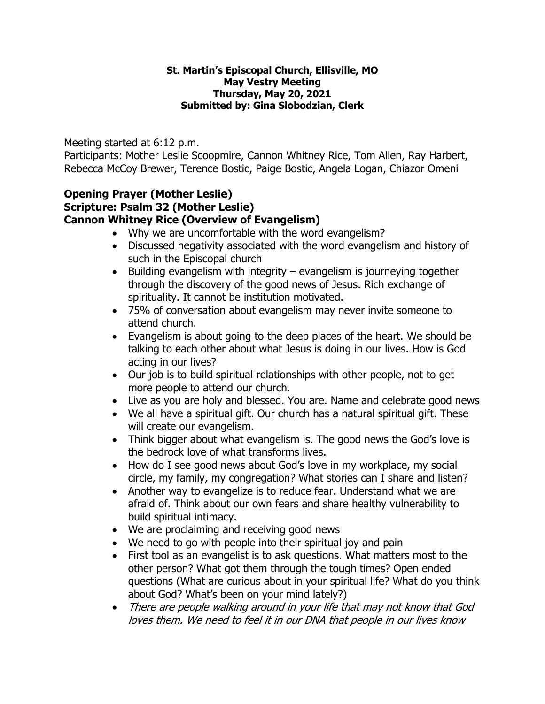#### **St. Martin's Episcopal Church, Ellisville, MO May Vestry Meeting Thursday, May 20, 2021 Submitted by: Gina Slobodzian, Clerk**

Meeting started at 6:12 p.m.

Participants: Mother Leslie Scoopmire, Cannon Whitney Rice, Tom Allen, Ray Harbert, Rebecca McCoy Brewer, Terence Bostic, Paige Bostic, Angela Logan, Chiazor Omeni

#### **Opening Prayer (Mother Leslie) Scripture: Psalm 32 (Mother Leslie) Cannon Whitney Rice (Overview of Evangelism)**

- Why we are uncomfortable with the word evangelism?
- Discussed negativity associated with the word evangelism and history of such in the Episcopal church
- Building evangelism with integrity evangelism is journeying together through the discovery of the good news of Jesus. Rich exchange of spirituality. It cannot be institution motivated.
- 75% of conversation about evangelism may never invite someone to attend church.
- Evangelism is about going to the deep places of the heart. We should be talking to each other about what Jesus is doing in our lives. How is God acting in our lives?
- Our job is to build spiritual relationships with other people, not to get more people to attend our church.
- Live as you are holy and blessed. You are. Name and celebrate good news
- We all have a spiritual gift. Our church has a natural spiritual gift. These will create our evangelism.
- Think bigger about what evangelism is. The good news the God's love is the bedrock love of what transforms lives.
- How do I see good news about God's love in my workplace, my social circle, my family, my congregation? What stories can I share and listen?
- Another way to evangelize is to reduce fear. Understand what we are afraid of. Think about our own fears and share healthy vulnerability to build spiritual intimacy.
- We are proclaiming and receiving good news
- We need to go with people into their spiritual joy and pain
- First tool as an evangelist is to ask questions. What matters most to the other person? What got them through the tough times? Open ended questions (What are curious about in your spiritual life? What do you think about God? What's been on your mind lately?)
- There are people walking around in your life that may not know that God loves them. We need to feel it in our DNA that people in our lives know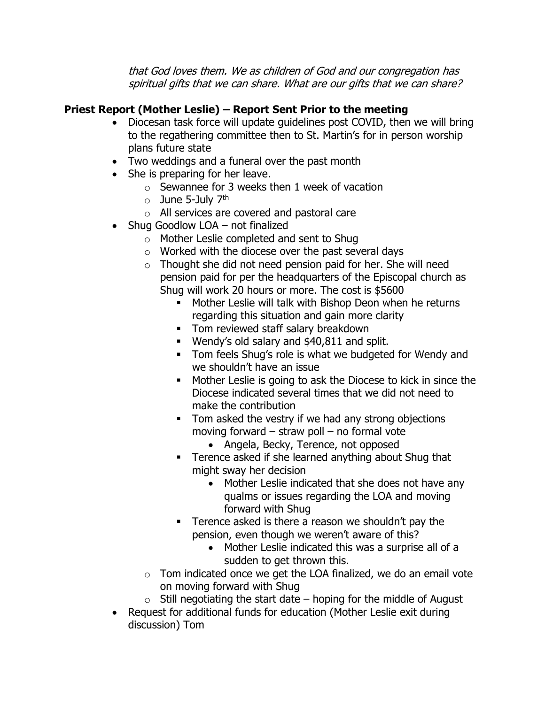that God loves them. We as children of God and our congregation has spiritual gifts that we can share. What are our gifts that we can share?

# **Priest Report (Mother Leslie) – Report Sent Prior to the meeting**

- Diocesan task force will update guidelines post COVID, then we will bring to the regathering committee then to St. Martin's for in person worship plans future state
- Two weddings and a funeral over the past month
- She is preparing for her leave.
	- o Sewannee for 3 weeks then 1 week of vacation
	- $\circ$  June 5-July 7<sup>th</sup>
	- o All services are covered and pastoral care
- Shug Goodlow LOA not finalized
	- o Mother Leslie completed and sent to Shug
	- o Worked with the diocese over the past several days
	- o Thought she did not need pension paid for her. She will need pension paid for per the headquarters of the Episcopal church as Shug will work 20 hours or more. The cost is \$5600
		- **■** Mother Leslie will talk with Bishop Deon when he returns regarding this situation and gain more clarity
		- **•** Tom reviewed staff salary breakdown
		- Wendy's old salary and \$40,811 and split.
		- **Tom feels Shug's role is what we budgeted for Wendy and** we shouldn't have an issue
		- Mother Leslie is going to ask the Diocese to kick in since the Diocese indicated several times that we did not need to make the contribution
		- Tom asked the vestry if we had any strong objections moving forward – straw poll – no formal vote
			- Angela, Becky, Terence, not opposed
		- **EXEC** Terence asked if she learned anything about Shug that might sway her decision
			- Mother Leslie indicated that she does not have any qualms or issues regarding the LOA and moving forward with Shug
		- **•** Terence asked is there a reason we shouldn't pay the pension, even though we weren't aware of this?
			- Mother Leslie indicated this was a surprise all of a sudden to get thrown this.
	- $\circ$  Tom indicated once we get the LOA finalized, we do an email vote on moving forward with Shug
	- $\circ$  Still negotiating the start date hoping for the middle of August
- Request for additional funds for education (Mother Leslie exit during discussion) Tom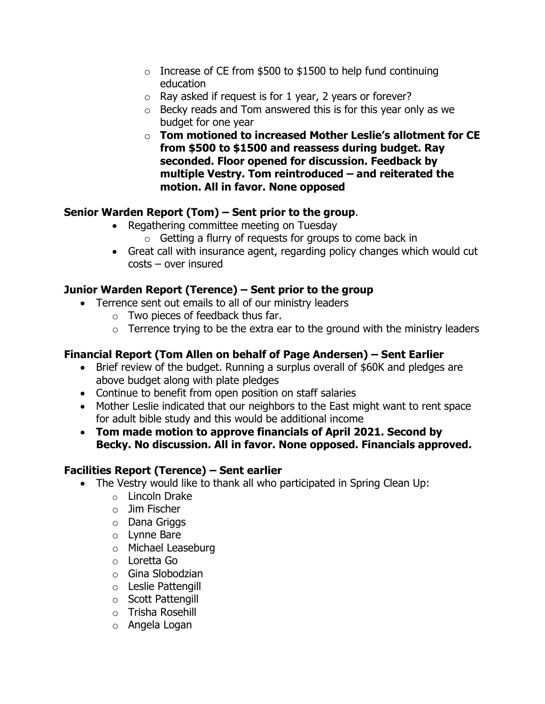- $\circ$  Increase of CE from \$500 to \$1500 to help fund continuing education
- $\circ$  Ray asked if request is for 1 year, 2 years or forever?
- o Becky reads and Tom answered this is for this year only as we budget for one year
- o **Tom motioned to increased Mother Leslie's allotment for CE from \$500 to \$1500 and reassess during budget. Ray seconded. Floor opened for discussion. Feedback by multiple Vestry. Tom reintroduced – and reiterated the motion. All in favor. None opposed**

# **Senior Warden Report (Tom) – Sent prior to the group**.

- Regathering committee meeting on Tuesday
	- $\circ$  Getting a flurry of requests for groups to come back in
- Great call with insurance agent, regarding policy changes which would cut costs – over insured

## **Junior Warden Report (Terence) – Sent prior to the group**

- Terrence sent out emails to all of our ministry leaders
	- o Two pieces of feedback thus far.
	- $\circ$  Terrence trying to be the extra ear to the ground with the ministry leaders

## **Financial Report (Tom Allen on behalf of Page Andersen) – Sent Earlier**

- Brief review of the budget. Running a surplus overall of \$60K and pledges are above budget along with plate pledges
- Continue to benefit from open position on staff salaries
- Mother Leslie indicated that our neighbors to the East might want to rent space for adult bible study and this would be additional income
- **Tom made motion to approve financials of April 2021. Second by Becky. No discussion. All in favor. None opposed. Financials approved.**

## **Facilities Report (Terence) – Sent earlier**

- The Vestry would like to thank all who participated in Spring Clean Up:
	- o Lincoln Drake
	- o Jim Fischer
	- o Dana Griggs
	- o Lynne Bare
	- o Michael Leaseburg
	- o Loretta Go
	- o Gina Slobodzian
	- o Leslie Pattengill
	- o Scott Pattengill
	- o Trisha Rosehill
	- o Angela Logan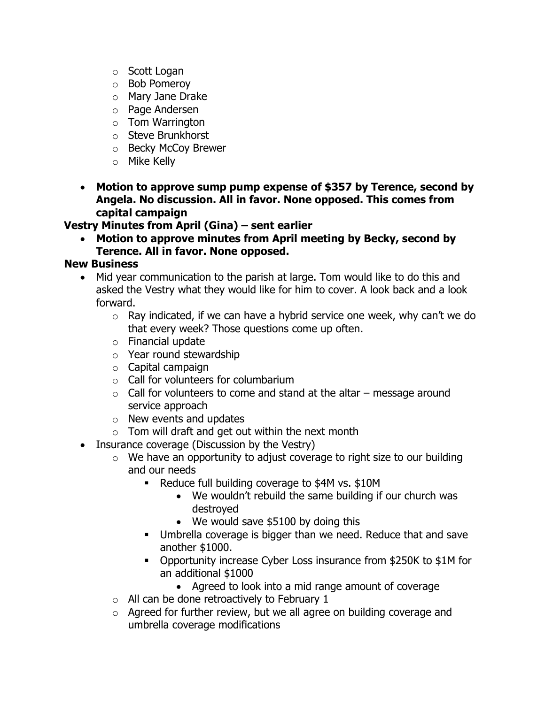- o Scott Logan
- o Bob Pomeroy
- o Mary Jane Drake
- o Page Andersen
- o Tom Warrington
- o Steve Brunkhorst
- o Becky McCoy Brewer
- o Mike Kelly
- **Motion to approve sump pump expense of \$357 by Terence, second by Angela. No discussion. All in favor. None opposed. This comes from capital campaign**

**Vestry Minutes from April (Gina) – sent earlier**

• **Motion to approve minutes from April meeting by Becky, second by Terence. All in favor. None opposed.** 

#### **New Business**

- Mid year communication to the parish at large. Tom would like to do this and asked the Vestry what they would like for him to cover. A look back and a look forward.
	- $\circ$  Ray indicated, if we can have a hybrid service one week, why can't we do that every week? Those questions come up often.
	- $\circ$  Financial update
	- o Year round stewardship
	- $\circ$  Capital campaign
	- o Call for volunteers for columbarium
	- $\circ$  Call for volunteers to come and stand at the altar message around service approach
	- o New events and updates
	- $\circ$  Tom will draft and get out within the next month
- Insurance coverage (Discussion by the Vestry)
	- $\circ$  We have an opportunity to adjust coverage to right size to our building and our needs
		- Reduce full building coverage to \$4M vs. \$10M
			- We wouldn't rebuild the same building if our church was destroyed
			- We would save \$5100 by doing this
		- **EXEC** Umbrella coverage is bigger than we need. Reduce that and save another \$1000.
		- Opportunity increase Cyber Loss insurance from \$250K to \$1M for an additional \$1000
			- Agreed to look into a mid range amount of coverage
	- $\circ$  All can be done retroactively to February 1
	- $\circ$  Agreed for further review, but we all agree on building coverage and umbrella coverage modifications